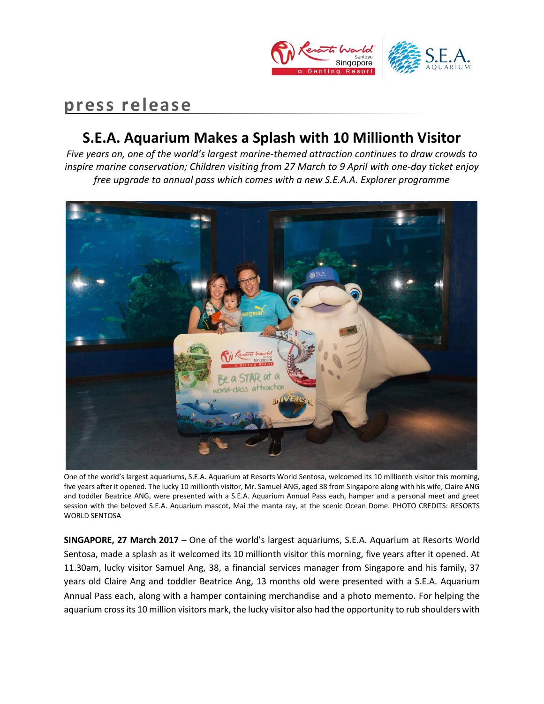

# **press release**

## **S.E.A. Aquarium Makes a Splash with 10 Millionth Visitor**

*Five years on, one of the world's largest marine-themed attraction continues to draw crowds to inspire marine conservation; Children visiting from 27 March to 9 April with one-day ticket enjoy free upgrade to annual pass which comes with a new S.E.A.A. Explorer programme*



One of the world's largest aquariums, S.E.A. Aquarium at Resorts World Sentosa, welcomed its 10 millionth visitor this morning, five years after it opened. The lucky 10 millionth visitor, Mr. Samuel ANG, aged 38 from Singapore along with his wife, Claire ANG and toddler Beatrice ANG, were presented with a S.E.A. Aquarium Annual Pass each, hamper and a personal meet and greet session with the beloved S.E.A. Aquarium mascot, Mai the manta ray, at the scenic Ocean Dome. PHOTO CREDITS: RESORTS WORLD SENTOSA

**SINGAPORE, 27 March 2017** – One of the world's largest aquariums, S.E.A. Aquarium at Resorts World Sentosa, made a splash as it welcomed its 10 millionth visitor this morning, five years after it opened. At 11.30am, lucky visitor Samuel Ang, 38, a financial services manager from Singapore and his family, 37 years old Claire Ang and toddler Beatrice Ang, 13 months old were presented with a S.E.A. Aquarium Annual Pass each, along with a hamper containing merchandise and a photo memento. For helping the aquarium cross its 10 million visitors mark, the lucky visitor also had the opportunity to rub shoulders with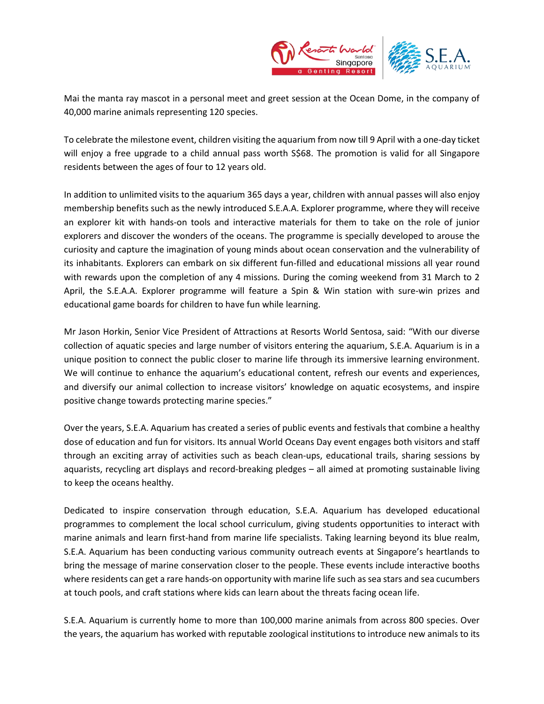

Mai the manta ray mascot in a personal meet and greet session at the Ocean Dome, in the company of 40,000 marine animals representing 120 species.

To celebrate the milestone event, children visiting the aquarium from now till 9 April with a one-day ticket will enjoy a free upgrade to a child annual pass worth S\$68. The promotion is valid for all Singapore residents between the ages of four to 12 years old.

In addition to unlimited visits to the aquarium 365 days a year, children with annual passes will also enjoy membership benefits such as the newly introduced S.E.A.A. Explorer programme, where they will receive an explorer kit with hands-on tools and interactive materials for them to take on the role of junior explorers and discover the wonders of the oceans. The programme is specially developed to arouse the curiosity and capture the imagination of young minds about ocean conservation and the vulnerability of its inhabitants. Explorers can embark on six different fun-filled and educational missions all year round with rewards upon the completion of any 4 missions. During the coming weekend from 31 March to 2 April, the S.E.A.A. Explorer programme will feature a Spin & Win station with sure-win prizes and educational game boards for children to have fun while learning.

Mr Jason Horkin, Senior Vice President of Attractions at Resorts World Sentosa, said: "With our diverse collection of aquatic species and large number of visitors entering the aquarium, S.E.A. Aquarium is in a unique position to connect the public closer to marine life through its immersive learning environment. We will continue to enhance the aquarium's educational content, refresh our events and experiences, and diversify our animal collection to increase visitors' knowledge on aquatic ecosystems, and inspire positive change towards protecting marine species."

Over the years, S.E.A. Aquarium has created a series of public events and festivals that combine a healthy dose of education and fun for visitors. Its annual World Oceans Day event engages both visitors and staff through an exciting array of activities such as beach clean-ups, educational trails, sharing sessions by aquarists, recycling art displays and record-breaking pledges – all aimed at promoting sustainable living to keep the oceans healthy.

Dedicated to inspire conservation through education, S.E.A. Aquarium has developed educational programmes to complement the local school curriculum, giving students opportunities to interact with marine animals and learn first-hand from marine life specialists. Taking learning beyond its blue realm, S.E.A. Aquarium has been conducting various community outreach events at Singapore's heartlands to bring the message of marine conservation closer to the people. These events include interactive booths where residents can get a rare hands-on opportunity with marine life such as sea stars and sea cucumbers at touch pools, and craft stations where kids can learn about the threats facing ocean life.

S.E.A. Aquarium is currently home to more than 100,000 marine animals from across 800 species. Over the years, the aquarium has worked with reputable zoological institutions to introduce new animals to its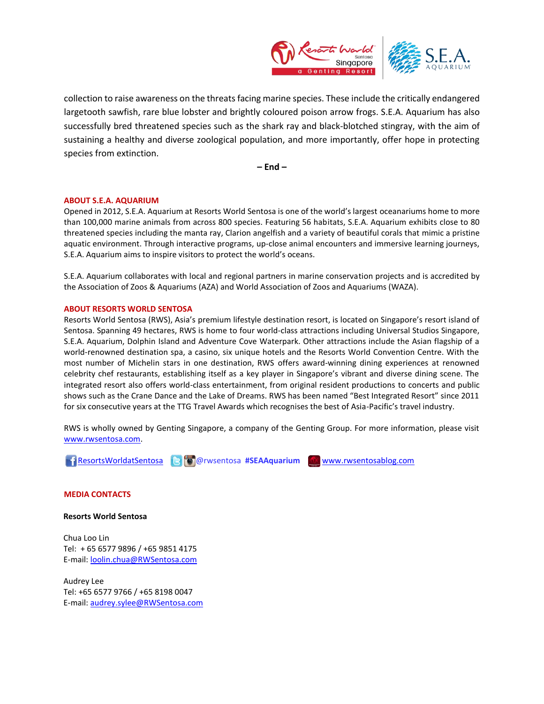

collection to raise awareness on the threats facing marine species. These include the critically endangered largetooth sawfish, rare blue lobster and brightly coloured poison arrow frogs. S.E.A. Aquarium has also successfully bred threatened species such as the shark ray and black-blotched stingray, with the aim of sustaining a healthy and diverse zoological population, and more importantly, offer hope in protecting species from extinction.

**– End –**

### **ABOUT S.E.A. AQUARIUM**

Opened in 2012, S.E.A. Aquarium at Resorts World Sentosa is one of the world's largest oceanariums home to more than 100,000 marine animals from across 800 species. Featuring 56 habitats, S.E.A. Aquarium exhibits close to 80 threatened species including the manta ray, Clarion angelfish and a variety of beautiful corals that mimic a pristine aquatic environment. Through interactive programs, up-close animal encounters and immersive learning journeys, S.E.A. Aquarium aims to inspire visitors to protect the world's oceans.

S.E.A. Aquarium collaborates with local and regional partners in marine conservation projects and is accredited by the Association of Zoos & Aquariums (AZA) and World Association of Zoos and Aquariums (WAZA).

#### **ABOUT RESORTS WORLD SENTOSA**

Resorts World Sentosa (RWS), Asia's premium lifestyle destination resort, is located on Singapore's resort island of Sentosa. Spanning 49 hectares, RWS is home to four world-class attractions including Universal Studios Singapore, S.E.A. Aquarium, Dolphin Island and Adventure Cove Waterpark. Other attractions include the Asian flagship of a world-renowned destination spa, a casino, six unique hotels and the Resorts World Convention Centre. With the most number of Michelin stars in one destination, RWS offers award-winning dining experiences at renowned celebrity chef restaurants, establishing itself as a key player in Singapore's vibrant and diverse dining scene. The integrated resort also offers world-class entertainment, from original resident productions to concerts and public shows such as the Crane Dance and the Lake of Dreams. RWS has been named "Best Integrated Resort" since 2011 for six consecutive years at the TTG Travel Awards which recognises the best of Asia-Pacific's travel industry.

RWS is wholly owned by Genting Singapore, a company of the Genting Group. For more information, please visit [www.rwsentosa.com.](http://www.rwsentosa.com/)

**ResortsWorldatSentosa @** @ @ rwsentosa #SEAAquarium **W** [www.rwsentosablog.com](http://www.rwsentosablog.com/)

#### **MEDIA CONTACTS**

**Resorts World Sentosa**

Chua Loo Lin Tel: + 65 6577 9896 / +65 9851 4175 E-mail[: loolin.chua@RWSentosa.com](mailto:loolin.chua@RWSentosa.com)

Audrey Lee Tel: +65 6577 9766 / +65 8198 0047 E-mail[: audrey.sylee@RWSentosa.com](mailto:audrey.sylee@RWSentosa.com)